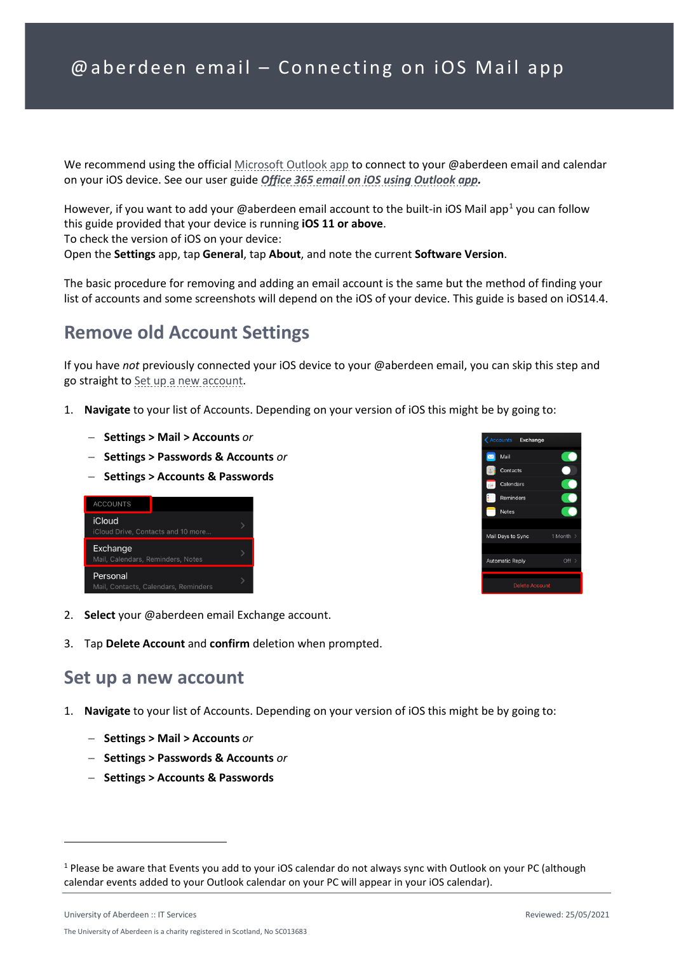We recommend using the official [Microsoft Outlook app](https://apps.apple.com/app/id951937596) to connect to your @aberdeen email and calendar on your iOS device. See our user guide *[Office 365 email on iOS using Outlook app.](https://www.abdn.ac.uk/it/documents/office365-outlookapp-ios-aberdeen.pdf)*

However, if you want to add your @aberdeen email account to the built-in iOS Mail app<sup>[1](#page-0-1)</sup> you can follow this guide provided that your device is running **iOS 11 or above**.

To check the version of iOS on your device:

Open the **Settings** app, tap **General**, tap **About**, and note the current **Software Version**.

The basic procedure for removing and adding an email account is the same but the method of finding your list of accounts and some screenshots will depend on the iOS of your device. This guide is based on iOS14.4.

## **Remove old Account Settings**

If you have *not* previously connected your iOS device to your @aberdeen email, you can skip this step and go straight to [Set up a new account.](#page-0-0)

- 1. **Navigate** to your list of Accounts. Depending on your version of iOS this might be by going to:
	- − **Settings > Mail > Accounts** *or*
	- − **Settings > Passwords & Accounts** *or*
	- − **Settings > Accounts & Passwords**





- 2. **Select** your @aberdeen email Exchange account.
- 3. Tap **Delete Account** and **confirm** deletion when prompted.

## <span id="page-0-0"></span>**Set up a new account**

- 1. **Navigate** to your list of Accounts. Depending on your version of iOS this might be by going to:
	- − **Settings > Mail > Accounts** *or*
	- − **Settings > Passwords & Accounts** *or*
	- − **Settings > Accounts & Passwords**

<span id="page-0-1"></span><sup>&</sup>lt;sup>1</sup> Please be aware that Events you add to your iOS calendar do not always sync with Outlook on your PC (although calendar events added to your Outlook calendar on your PC will appear in your iOS calendar).